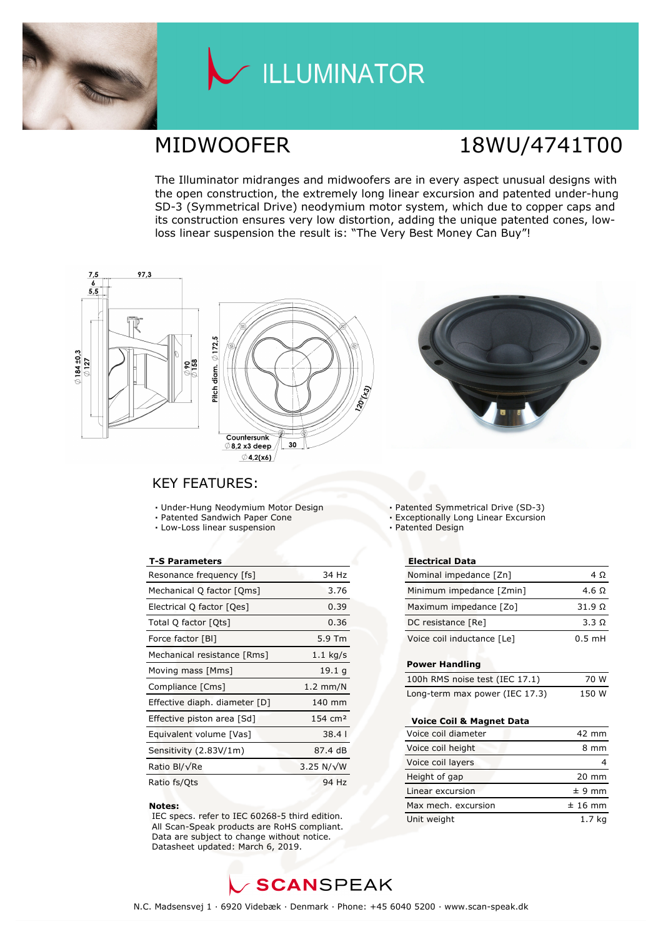

## LLUMINATOR

## MIDWOOFER 18WU/4741T00

The Illuminator midranges and midwoofers are in every aspect unusual designs with the open construction, the extremely long linear excursion and patented under-hung SD-3 (Symmetrical Drive) neodymium motor system, which due to copper caps and its construction ensures very low distortion, adding the unique patented cones, lowloss linear suspension the result is: "The Very Best Money Can Buy"!







### KEY FEATURES:

- **·** Under-Hung Neodymium Motor Design
- **·** Patented Sandwich Paper Cone
- **·** Low-Loss linear suspension

#### **T-S Parameters**

| Resonance frequency [fs]      | 34 Hz              |
|-------------------------------|--------------------|
| Mechanical Q factor [Qms]     | 3.76               |
| Electrical Q factor [Qes]     | 0.39               |
| Total Q factor [Qts]          | 0.36               |
| Force factor [BI]             | 5.9 Tm             |
| Mechanical resistance [Rms]   | $1.1$ kg/s         |
| Moving mass [Mms]             | 19.1 q             |
| Compliance [Cms]              | $1.2 \text{ mm/N}$ |
| Effective diaph. diameter [D] | 140 mm             |
| Effective piston area [Sd]    | $154 \text{ cm}^2$ |
| Equivalent volume [Vas]       | 38.41              |
| Sensitivity (2.83V/1m)        | 87.4 dB            |
| Ratio Bl/√Re                  | 3.25 N/ $\sqrt{W}$ |
| Ratio fs/Qts                  | 94 Hz              |

#### **Notes:**

 IEC specs. refer to IEC 60268-5 third edition. All Scan-Speak products are RoHS compliant. Data are subject to change without notice. Datasheet updated: March 6, 2019.

Patented Symmetrical Drive (SD-3)

- **·** Exceptionally Long Linear Excursion
- **·** Patented Design

#### **Electrical Data**

| Nominal impedance [Zn]     | 4 O           |
|----------------------------|---------------|
| Minimum impedance [Zmin]   | 4.6 $\Omega$  |
| Maximum impedance [Zo]     | $31.9 \Omega$ |
| DC resistance [Re]         | 3.3 Q         |
| Voice coil inductance [Le] | $0.5$ mH      |

#### **Power Handling**

| 100h RMS noise test (IEC 17.1) | 70 W  |
|--------------------------------|-------|
| Long-term max power (IEC 17.3) | 150 W |

#### **Voice Coil & Magnet Data**

| Voice coil diameter | 42 mm           |
|---------------------|-----------------|
| Voice coil height   | 8 mm            |
| Voice coil layers   |                 |
| Height of gap       | $20 \text{ mm}$ |
| Linear excursion    | $± 9$ mm        |
| Max mech. excursion | $±$ 16 mm       |
| Unit weight         | 1.7 ka          |